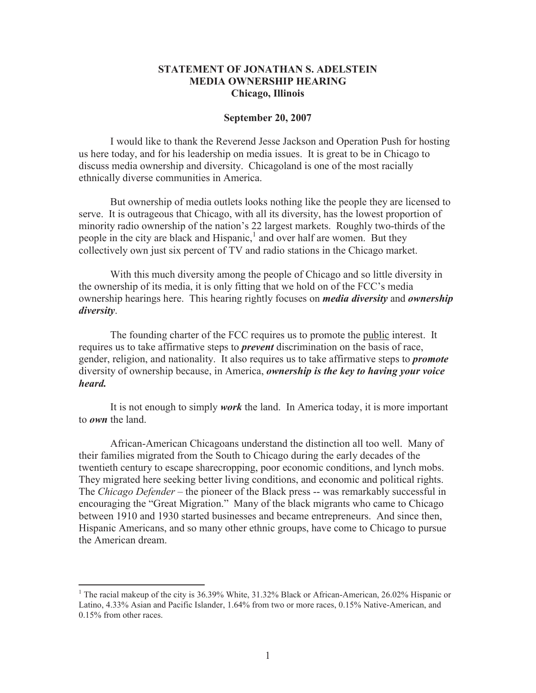## **STATEMENT OF JONATHAN S. ADELSTEIN MEDIA OWNERSHIP HEARING Chicago, Illinois**

## **September 20, 2007**

I would like to thank the Reverend Jesse Jackson and Operation Push for hosting us here today, and for his leadership on media issues. It is great to be in Chicago to discuss media ownership and diversity. Chicagoland is one of the most racially ethnically diverse communities in America.

But ownership of media outlets looks nothing like the people they are licensed to serve. It is outrageous that Chicago, with all its diversity, has the lowest proportion of minority radio ownership of the nation's 22 largest markets. Roughly two-thirds of the people in the city are black and Hispanic,<sup>1</sup> and over half are women. But they collectively own just six percent of TV and radio stations in the Chicago market.

With this much diversity among the people of Chicago and so little diversity in the ownership of its media, it is only fitting that we hold on of the FCC's media ownership hearings here. This hearing rightly focuses on *media diversity* and *ownership diversity*.

The founding charter of the FCC requires us to promote the public interest. It requires us to take affirmative steps to *prevent* discrimination on the basis of race, gender, religion, and nationality. It also requires us to take affirmative steps to *promote* diversity of ownership because, in America, *ownership is the key to having your voice heard.*

It is not enough to simply *work* the land. In America today, it is more important to *own* the land.

African-American Chicagoans understand the distinction all too well. Many of their families migrated from the South to Chicago during the early decades of the twentieth century to escape sharecropping, poor economic conditions, and lynch mobs. They migrated here seeking better living conditions, and economic and political rights. The *Chicago Defender* – the pioneer of the Black press -- was remarkably successful in encouraging the "Great Migration." Many of the black migrants who came to Chicago between 1910 and 1930 started businesses and became entrepreneurs. And since then, Hispanic Americans, and so many other ethnic groups, have come to Chicago to pursue the American dream.

<sup>&</sup>lt;sup>1</sup> The racial makeup of the city is 36.39% White, 31.32% Black or African-American, 26.02% Hispanic or Latino, 4.33% Asian and Pacific Islander, 1.64% from two or more races, 0.15% Native-American, and 0.15% from other races.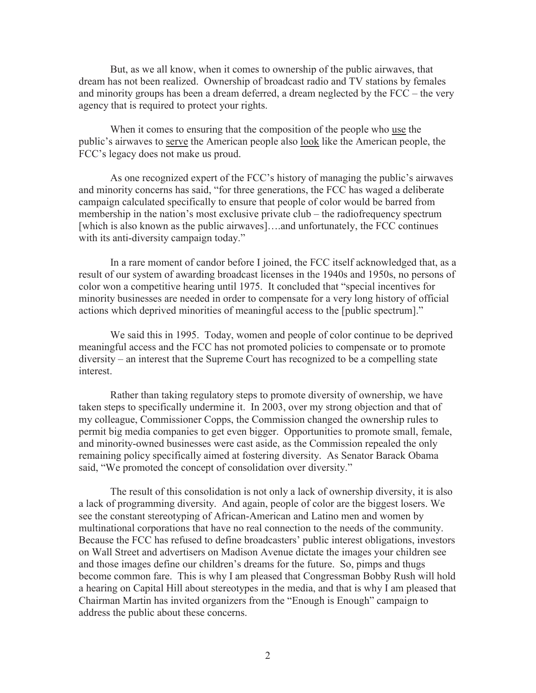But, as we all know, when it comes to ownership of the public airwaves, that dream has not been realized. Ownership of broadcast radio and TV stations by females and minority groups has been a dream deferred, a dream neglected by the FCC – the very agency that is required to protect your rights.

When it comes to ensuring that the composition of the people who use the public's airwaves to serve the American people also look like the American people, the FCC's legacy does not make us proud.

As one recognized expert of the FCC's history of managing the public's airwaves and minority concerns has said, "for three generations, the FCC has waged a deliberate campaign calculated specifically to ensure that people of color would be barred from membership in the nation's most exclusive private club – the radiofrequency spectrum [which is also known as the public airwaves]....and unfortunately, the FCC continues with its anti-diversity campaign today."

In a rare moment of candor before I joined, the FCC itself acknowledged that, as a result of our system of awarding broadcast licenses in the 1940s and 1950s, no persons of color won a competitive hearing until 1975. It concluded that "special incentives for minority businesses are needed in order to compensate for a very long history of official actions which deprived minorities of meaningful access to the [public spectrum]."

We said this in 1995. Today, women and people of color continue to be deprived meaningful access and the FCC has not promoted policies to compensate or to promote diversity – an interest that the Supreme Court has recognized to be a compelling state interest.

Rather than taking regulatory steps to promote diversity of ownership, we have taken steps to specifically undermine it. In 2003, over my strong objection and that of my colleague, Commissioner Copps, the Commission changed the ownership rules to permit big media companies to get even bigger. Opportunities to promote small, female, and minority-owned businesses were cast aside, as the Commission repealed the only remaining policy specifically aimed at fostering diversity. As Senator Barack Obama said, "We promoted the concept of consolidation over diversity."

The result of this consolidation is not only a lack of ownership diversity, it is also a lack of programming diversity. And again, people of color are the biggest losers. We see the constant stereotyping of African-American and Latino men and women by multinational corporations that have no real connection to the needs of the community. Because the FCC has refused to define broadcasters' public interest obligations, investors on Wall Street and advertisers on Madison Avenue dictate the images your children see and those images define our children's dreams for the future. So, pimps and thugs become common fare. This is why I am pleased that Congressman Bobby Rush will hold a hearing on Capital Hill about stereotypes in the media, and that is why I am pleased that Chairman Martin has invited organizers from the "Enough is Enough" campaign to address the public about these concerns.